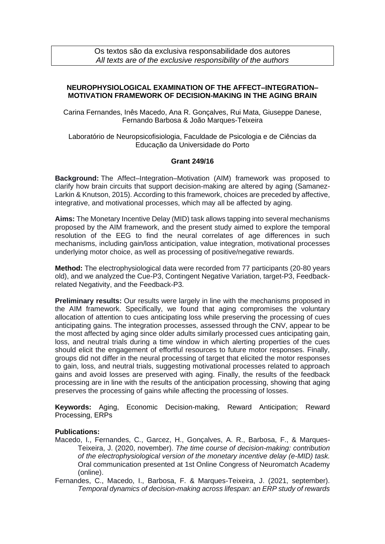Os textos são da exclusiva responsabilidade dos autores *All texts are of the exclusive responsibility of the authors*

## **NEUROPHYSIOLOGICAL EXAMINATION OF THE AFFECT–INTEGRATION– MOTIVATION FRAMEWORK OF DECISION-MAKING IN THE AGING BRAIN**

Carina Fernandes, Inês Macedo, Ana R. Gonçalves, Rui Mata, Giuseppe Danese, Fernando Barbosa & João Marques-Teixeira

Laboratório de Neuropsicofisiologia, Faculdade de Psicologia e de Ciências da Educação da Universidade do Porto

## **Grant 249/16**

**Background:** The Affect–Integration–Motivation (AIM) framework was proposed to clarify how brain circuits that support decision-making are altered by aging (Samanez-Larkin & Knutson, 2015). According to this framework, choices are preceded by affective, integrative, and motivational processes, which may all be affected by aging.

**Aims:** The Monetary Incentive Delay (MID) task allows tapping into several mechanisms proposed by the AIM framework, and the present study aimed to explore the temporal resolution of the EEG to find the neural correlates of age differences in such mechanisms, including gain/loss anticipation, value integration, motivational processes underlying motor choice, as well as processing of positive/negative rewards.

**Method:** The electrophysiological data were recorded from 77 participants (20-80 years old), and we analyzed the Cue-P3, Contingent Negative Variation, target-P3, Feedbackrelated Negativity, and the Feedback-P3.

**Preliminary results:** Our results were largely in line with the mechanisms proposed in the AIM framework. Specifically, we found that aging compromises the voluntary allocation of attention to cues anticipating loss while preserving the processing of cues anticipating gains. The integration processes, assessed through the CNV, appear to be the most affected by aging since older adults similarly processed cues anticipating gain, loss, and neutral trials during a time window in which alerting properties of the cues should elicit the engagement of effortful resources to future motor responses. Finally, groups did not differ in the neural processing of target that elicited the motor responses to gain, loss, and neutral trials, suggesting motivational processes related to approach gains and avoid losses are preserved with aging. Finally, the results of the feedback processing are in line with the results of the anticipation processing, showing that aging preserves the processing of gains while affecting the processing of losses.

**Keywords:** Aging, Economic Decision-making, Reward Anticipation; Reward Processing, ERPs

## **Publications:**

- Macedo, I., Fernandes, C., Garcez, H., Gonçalves, A. R., Barbosa, F., & Marques-Teixeira, J. (2020, november). *The time course of decision-making: contribution of the electrophysiological version of the monetary incentive delay (e-MID) task.* Oral communication presented at 1st Online Congress of Neuromatch Academy (online).
- Fernandes, C., Macedo, I., Barbosa, F. & Marques-Teixeira, J. (2021, september). *Temporal dynamics of decision-making across lifespan: an ERP study of rewards*